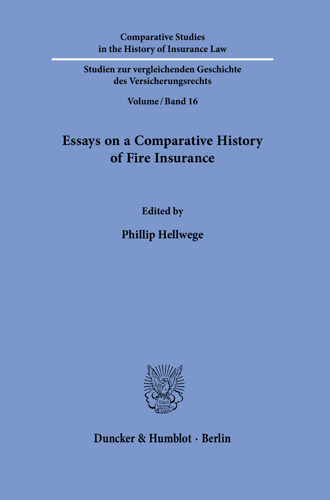**Comparative Studies in the History of Insurance Law**

**Studien zur vergleichenden Geschichte des Versicherungsrechts**

**Volume / Band 16**

## **Essays on a Comparative History of Fire Insurance**

**Edited by**

**Phillip Hellwege**



**Duncker & Humblot · Berlin**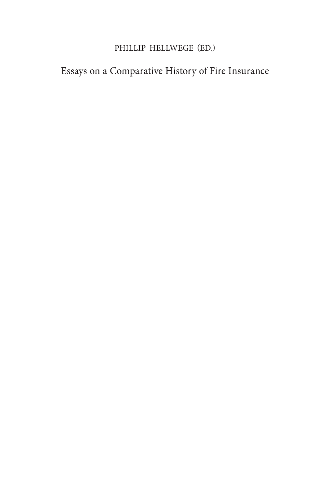### PHILLIP HELLWEGE (ED.)

## Essays on a Comparative History of Fire Insurance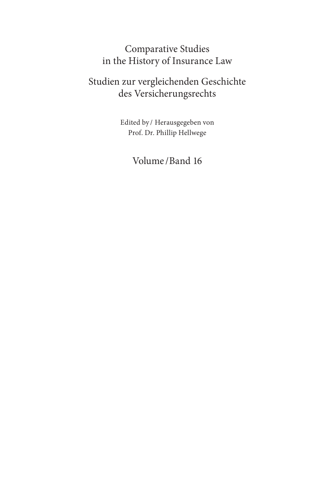### Comparative Studies in the History of Insurance Law

## Studien zur vergleichenden Geschichte des Versicherungsrechts

Edited by / Herausgegeben von Prof. Dr. Phillip Hellwege

## Volume / Band 16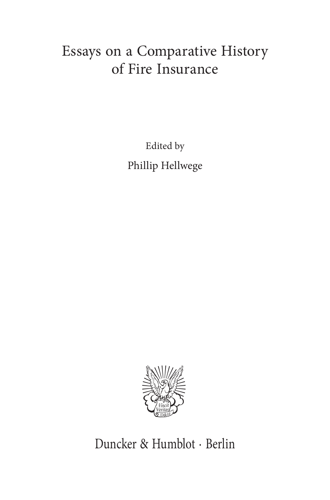# Essays on a Comparative History of Fire Insurance

Edited by Phillip Hellwege



Duncker & Humblot · Berlin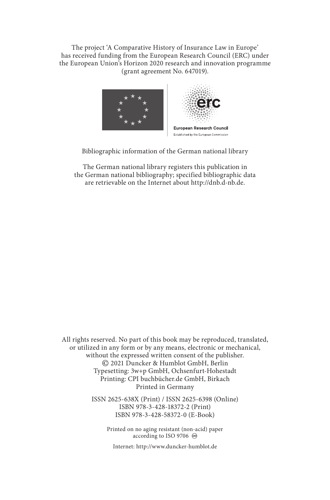The project 'A Comparative History of Insurance Law in Europe' has received funding from the European Research Council (ERC) under the European Union's Horizon 2020 research and innovation programme (grant agreement No. 647019).



Bibliographic information of the German national library

The German national library registers this publication in the German national bibliography; specified bibliographic data are retrievable on the Internet about http://dnb.d-nb.de.

All rights reserved. No part of this book may be reproduced, translated, or utilized in any form or by any means, electronic or mechanical, without the expressed written consent of the publisher. © 2021 Duncker & Humblot GmbH, Berlin Typesetting: 3w+p GmbH, Ochsenfurt-Hohestadt Printing: CPI buchbücher.de GmbH, Birkach Printed in Germany

> ISSN 2625-638X (Print) / ISSN 2625-6398 (Online) ISBN 978-3-428-18372-2 (Print) ISBN 978-3-428-58372-0 (E-Book)

> > Printed on no aging resistant (non-acid) paper according to ISO 9706  $\otimes$

Internet: http://www.duncker-humblot.de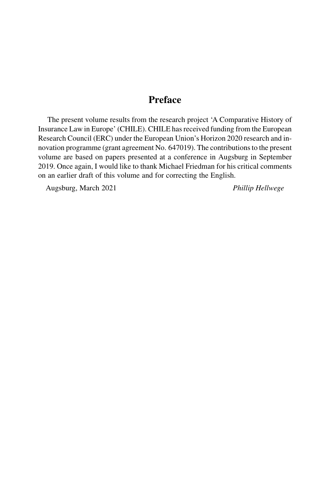### [Preface](#page-7-0)

The present volume results from the research project 'A Comparative History of Insurance Law in Europe' (CHILE). CHILE has received funding from the European Research Council (ERC) under the European Union's Horizon 2020 research and innovation programme (grant agreement No. 647019). The contributions to the present volume are based on papers presented at a conference in Augsburg in September 2019. Once again, I would like to thank Michael Friedman for his critical comments on an earlier draft of this volume and for correcting the English.

Augsburg, March 2021 Phillip Hellwege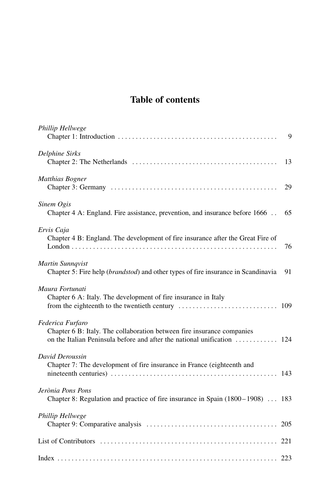## Table of contents

<span id="page-7-0"></span>

| Phillip Hellwege                                                                                                                                                      | 9  |
|-----------------------------------------------------------------------------------------------------------------------------------------------------------------------|----|
| <b>Delphine Sirks</b>                                                                                                                                                 | 13 |
| Matthias Bogner                                                                                                                                                       | 29 |
| Sinem Ogis<br>Chapter 4 A: England. Fire assistance, prevention, and insurance before 1666                                                                            | 65 |
| Ervis Caja<br>Chapter 4 B: England. The development of fire insurance after the Great Fire of                                                                         | 76 |
| Martin Sunnqvist<br>Chapter 5: Fire help ( <i>brandstod</i> ) and other types of fire insurance in Scandinavia                                                        | 91 |
| Maura Fortunati<br>Chapter 6 A: Italy. The development of fire insurance in Italy                                                                                     |    |
| Federica Furfaro<br>Chapter 6 B: Italy. The collaboration between fire insurance companies<br>on the Italian Peninsula before and after the national unification  124 |    |
| David Deroussin<br>Chapter 7: The development of fire insurance in France (eighteenth and                                                                             |    |
| Jerònia Pons Pons<br>Chapter 8: Regulation and practice of fire insurance in Spain (1800–1908)  183                                                                   |    |
| <b>Phillip Hellwege</b>                                                                                                                                               |    |
|                                                                                                                                                                       |    |
|                                                                                                                                                                       |    |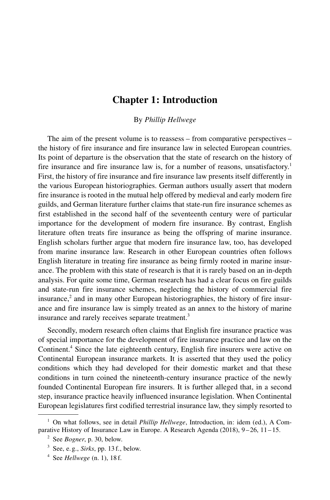#### [Chapter](#page-7-0) 1: [Introduction](#page-7-0)

By Phillip [Hellwege](#page-7-0)

<span id="page-9-0"></span>The aim of the present volume is to reassess – from comparative perspectives – the history of fire insurance and fire insurance law in selected European countries. Its point of departure is the observation that the state of research on the history of fire insurance and fire insurance law is, for a number of reasons, unsatisfactory. 1 First, the history of fire insurance and fire insurance law presents itself differently in the various European historiographies. German authors usually assert that modern fire insurance is rooted in the mutual help offered by medieval and early modern fire guilds, and German literature further claims that state-run fire insurance schemes as first established in the second half of the seventeenth century were of particular importance for the development of modern fire insurance. By contrast, English literature often treats fire insurance as being the offspring of marine insurance. English scholars further argue that modern fire insurance law, too, has developed from marine insurance law. Research in other European countries often follows English literature in treating fire insurance as being firmly rooted in marine insurance. The problem with this state of research is that it is rarely based on an in-depth analysis. For quite some time, German research has had a clear focus on fire guilds and state-run fire insurance schemes, neglecting the history of commercial fire insurance,<sup>2</sup> and in many other European historiographies, the history of fire insurance and fire insurance law is simply treated as an annex to the history of marine insurance and rarely receives separate treatment.<sup>3</sup>

Secondly, modern research often claims that English fire insurance practice was of special importance for the development of fire insurance practice and law on the Continent.<sup>4</sup> Since the late eighteenth century, English fire insurers were active on Continental European insurance markets. It is asserted that they used the policy conditions which they had developed for their domestic market and that these conditions in turn coined the nineteenth-century insurance practice of the newly founded Continental European fire insurers. It is further alleged that, in a second step, insurance practice heavily influenced insurance legislation. When Continental European legislatures first codified terrestrial insurance law, they simply resorted to

 $1$  On what follows, see in detail *Phillip Hellwege*, Introduction, in: idem (ed.), A Comparative History of Insurance Law in Europe. A Research Agenda (2018), 9 – 26, 11– 15.

 $2$  See *Bogner*, p. 30, below.

 $3$  See, e.g., *Sirks*, pp. 13 f., below.

 $4$  See Hellwege (n. 1), 18 f.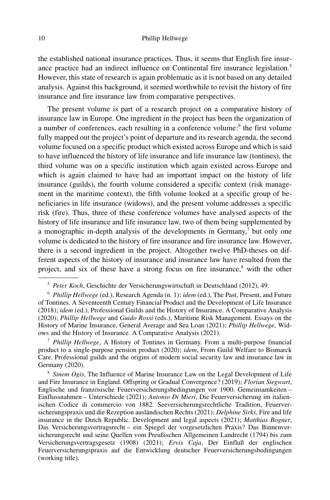#### 10 Phillip [Hellwege](http://www.duncker-humblot.de)

the established national insurance practices. Thus, it seems that English fire insurance practice had an indirect influence on Continental fire insurance legislation.<sup>5</sup> However, this state of research is again problematic as it is not based on any detailed analysis. Against this background, it seemed worthwhile to revisit the history of fire insurance and fire insurance law from comparative perspectives.

The present volume is part of a research project on a comparative history of insurance law in Europe. One ingredient in the project has been the organization of a number of conferences, each resulting in a conference volume:<sup>6</sup> the first volume fully mapped out the project's point of departure and its research agenda, the second volume focused on a specific product which existed across Europe and which is said to have influenced the history of life insurance and life insurance law (tontines), the third volume was on a specific institution which again existed across Europe and which is again claimed to have had an important impact on the history of life insurance (guilds), the fourth volume considered a specific context (risk management in the maritime context), the fifth volume looked at a specific group of beneficiaries in life insurance (widows), and the present volume addresses a specific risk (fire). Thus, three of these conference volumes have analysed aspects of the history of life insurance and life insurance law, two of them being supplemented by a monographic in-depth analysis of the developments in Germany,<sup>7</sup> but only one volume is dedicated to the history of fire insurance and fire insurance law. However, there is a second ingredient in the project. Altogether twelve PhD-theses on different aspects of the history of insurance and insurance law have resulted from the project, and six of these have a strong focus on fire insurance, <sup>8</sup> with the other

 $7$  Phillip Hellwege, A History of Tontines in Germany. From a multi-purpose financial product to a single-purpose pension product (2020); idem, From Guild Welfare to Bismarck Care. Professional guilds and the origins of modern social security law and insurance law in Germany (2020).

 $8$  Sinem Ogis, The Influence of Marine Insurance Law on the Legal Development of Life and Fire Insurance in England. Offspring or Gradual Convergence? (2019); Florian Siegwart, Englische und französische Feuerversicherungsbedingungen vor 1900. Gemeinsamkeiten – Einflussnahmen – Unterschiede (2021); Antonio Di Mieri, Die Feuerversicherung im italienischen Codice di commercio von 1882. Seeversicherungsrechtliche Tradition, Feuerversicherungspraxis und die Rezeption ausländischen Rechts (2021); Delphine Sirks, Fire and life insurance in the Dutch Republic. Development and legal aspects (2021); Matthias Bogner, Das Versicherungsvertragsrecht – ein Spiegel der vorgesetzlichen Praxis? Das Binnenversicherungsrecht und seine Quellen vom Preußischen Allgemeinen Landrecht (1794) bis zum Versicherungsvertragsgesetz (1908) (2021); Ervis Caja, Der Einfluß der englischen Feuerversicherungspraxis auf die Entwicklung deutscher Feuerversicherungsbedingungen (working title).

<sup>&</sup>lt;sup>5</sup> Peter Koch, Geschichte der Versicherungswirtschaft in Deutschland (2012), 49.

 $6$  Phillip Hellwege (ed.), Research Agenda (n. 1); idem (ed.), The Past, Present, and Future of Tontines. A Seventeenth Century Financial Product and the Development of Life Insurance (2018); idem (ed.), Professional Guilds and the History of Insurance. A Comparative Analysis (2020); *Phillip Hellwege* and *Guido Rossi* (eds.), Maritime Risk Management. Essays on the History of Marine Insurance, General Average and Sea Loan (2021); Phillip Hellwege, Widows and the History of Insurance. A Comparative Analysis (2021).